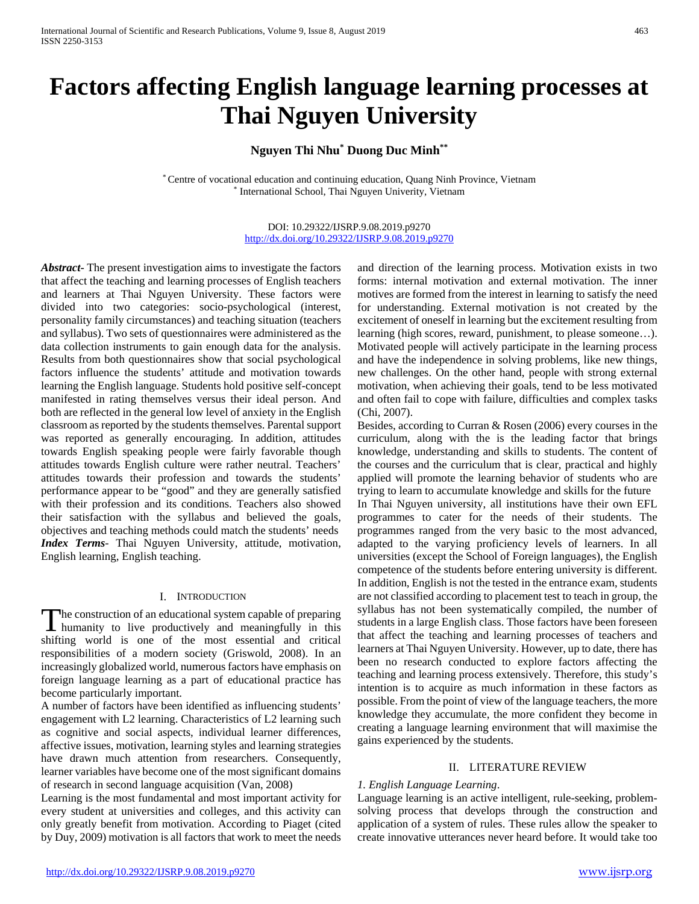# **Factors affecting English language learning processes at Thai Nguyen University**

# **Nguyen Thi Nhu\* Duong Duc Minh\*\***

\* Centre of vocational education and continuing education, Quang Ninh Province, Vietnam \* International School, Thai Nguyen Univerity, Vietnam

> DOI: 10.29322/IJSRP.9.08.2019.p9270 <http://dx.doi.org/10.29322/IJSRP.9.08.2019.p9270>

*Abstract***-** The present investigation aims to investigate the factors that affect the teaching and learning processes of English teachers and learners at Thai Nguyen University. These factors were divided into two categories: socio-psychological (interest, personality family circumstances) and teaching situation (teachers and syllabus). Two sets of questionnaires were administered as the data collection instruments to gain enough data for the analysis. Results from both questionnaires show that social psychological factors influence the students' attitude and motivation towards learning the English language. Students hold positive self-concept manifested in rating themselves versus their ideal person. And both are reflected in the general low level of anxiety in the English classroom as reported by the students themselves. Parental support was reported as generally encouraging. In addition, attitudes towards English speaking people were fairly favorable though attitudes towards English culture were rather neutral. Teachers' attitudes towards their profession and towards the students' performance appear to be "good" and they are generally satisfied with their profession and its conditions. Teachers also showed their satisfaction with the syllabus and believed the goals, objectives and teaching methods could match the students' needs *Index Terms*- Thai Nguyen University, attitude, motivation, English learning, English teaching.

## I. INTRODUCTION

he construction of an educational system capable of preparing The construction of an educational system capable of preparing<br>humanity to live productively and meaningfully in this<br> $\frac{1}{100}$ shifting world is one of the most essential and critical responsibilities of a modern society (Griswold, 2008). In an increasingly globalized world, numerous factors have emphasis on foreign language learning as a part of educational practice has become particularly important.

A number of factors have been identified as influencing students' engagement with L2 learning. Characteristics of L2 learning such as cognitive and social aspects, individual learner differences, affective issues, motivation, learning styles and learning strategies have drawn much attention from researchers. Consequently, learner variables have become one of the most significant domains of research in second language acquisition (Van, 2008)

Learning is the most fundamental and most important activity for every student at universities and colleges, and this activity can only greatly benefit from motivation. According to Piaget (cited by Duy, 2009) motivation is all factors that work to meet the needs

and direction of the learning process. Motivation exists in two forms: internal motivation and external motivation. The inner motives are formed from the interest in learning to satisfy the need for understanding. External motivation is not created by the excitement of oneself in learning but the excitement resulting from learning (high scores, reward, punishment, to please someone…). Motivated people will actively participate in the learning process and have the independence in solving problems, like new things, new challenges. On the other hand, people with strong external motivation, when achieving their goals, tend to be less motivated and often fail to cope with failure, difficulties and complex tasks (Chi, 2007).

Besides, according to Curran & Rosen (2006) every courses in the curriculum, along with the is the leading factor that brings knowledge, understanding and skills to students. The content of the courses and the curriculum that is clear, practical and highly applied will promote the learning behavior of students who are trying to learn to accumulate knowledge and skills for the future In Thai Nguyen university, all institutions have their own EFL programmes to cater for the needs of their students. The programmes ranged from the very basic to the most advanced, adapted to the varying proficiency levels of learners. In all universities (except the School of Foreign languages), the English competence of the students before entering university is different. In addition, English is not the tested in the entrance exam, students are not classified according to placement test to teach in group, the syllabus has not been systematically compiled, the number of students in a large English class. Those factors have been foreseen that affect the teaching and learning processes of teachers and learners at Thai Nguyen University. However, up to date, there has been no research conducted to explore factors affecting the teaching and learning process extensively. Therefore, this study's intention is to acquire as much information in these factors as possible. From the point of view of the language teachers, the more knowledge they accumulate, the more confident they become in creating a language learning environment that will maximise the gains experienced by the students.

## II. LITERATURE REVIEW

## *1. English Language Learning*.

Language learning is an active intelligent, rule-seeking, problemsolving process that develops through the construction and application of a system of rules. These rules allow the speaker to create innovative utterances never heard before. It would take too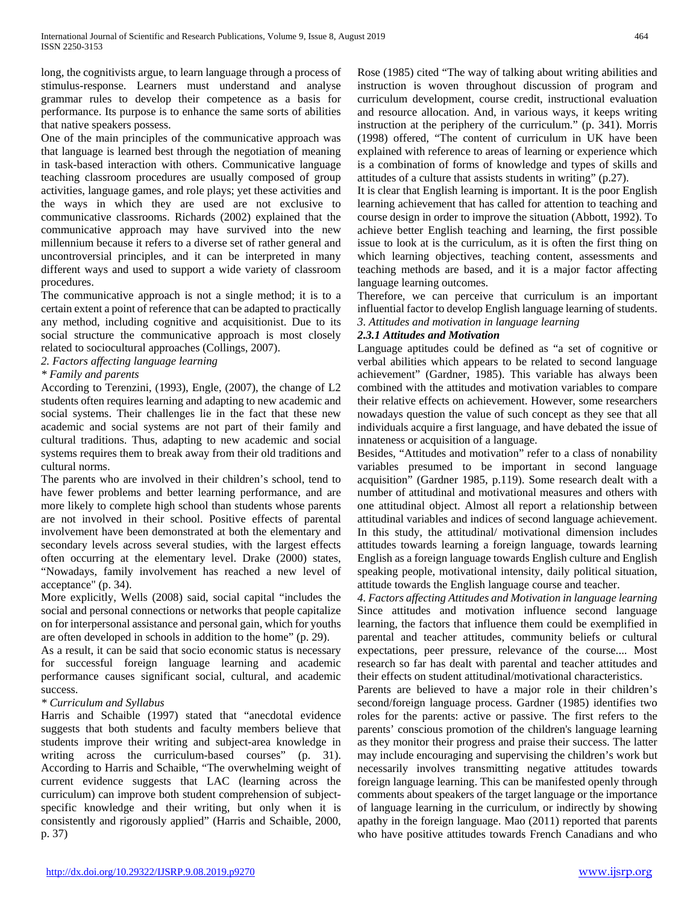long, the cognitivists argue, to learn language through a process of stimulus-response. Learners must understand and analyse grammar rules to develop their competence as a basis for performance. Its purpose is to enhance the same sorts of abilities that native speakers possess.

One of the main principles of the communicative approach was that language is learned best through the negotiation of meaning in task-based interaction with others. Communicative language teaching classroom procedures are usually composed of group activities, language games, and role plays; yet these activities and the ways in which they are used are not exclusive to communicative classrooms. Richards (2002) explained that the communicative approach may have survived into the new millennium because it refers to a diverse set of rather general and uncontroversial principles, and it can be interpreted in many different ways and used to support a wide variety of classroom procedures.

The communicative approach is not a single method; it is to a certain extent a point of reference that can be adapted to practically any method, including cognitive and acquisitionist. Due to its social structure the communicative approach is most closely related to sociocultural approaches (Collings, 2007).

*2. Factors affecting language learning*

## *\* Family and parents*

According to Terenzini, (1993), Engle, (2007), the change of L2 students often requires learning and adapting to new academic and social systems. Their challenges lie in the fact that these new academic and social systems are not part of their family and cultural traditions. Thus, adapting to new academic and social systems requires them to break away from their old traditions and cultural norms.

The parents who are involved in their children's school, tend to have fewer problems and better learning performance, and are more likely to complete high school than students whose parents are not involved in their school. Positive effects of parental involvement have been demonstrated at both the elementary and secondary levels across several studies, with the largest effects often occurring at the elementary level. Drake (2000) states, "Nowadays, family involvement has reached a new level of acceptance" (p. 34).

More explicitly, Wells (2008) said, social capital "includes the social and personal connections or networks that people capitalize on for interpersonal assistance and personal gain, which for youths are often developed in schools in addition to the home" (p. 29).

As a result, it can be said that socio economic status is necessary for successful foreign language learning and academic performance causes significant social, cultural, and academic success.

# *\* Curriculum and Syllabus*

Harris and Schaible (1997) stated that "anecdotal evidence suggests that both students and faculty members believe that students improve their writing and subject-area knowledge in writing across the curriculum-based courses" (p. 31). According to Harris and Schaible, "The overwhelming weight of current evidence suggests that LAC (learning across the curriculum) can improve both student comprehension of subjectspecific knowledge and their writing, but only when it is consistently and rigorously applied" (Harris and Schaible, 2000, p. 37)

Rose (1985) cited "The way of talking about writing abilities and instruction is woven throughout discussion of program and curriculum development, course credit, instructional evaluation and resource allocation. And, in various ways, it keeps writing instruction at the periphery of the curriculum." (p. 341). Morris (1998) offered, "The content of curriculum in UK have been explained with reference to areas of learning or experience which is a combination of forms of knowledge and types of skills and attitudes of a culture that assists students in writing" (p.27).

It is clear that English learning is important. It is the poor English learning achievement that has called for attention to teaching and course design in order to improve the situation (Abbott, 1992). To achieve better English teaching and learning, the first possible issue to look at is the curriculum, as it is often the first thing on which learning objectives, teaching content, assessments and teaching methods are based, and it is a major factor affecting language learning outcomes.

Therefore, we can perceive that curriculum is an important influential factor to develop English language learning of students. *3. Attitudes and motivation in language learning*

## *2.3.1 Attitudes and Motivation*

Language aptitudes could be defined as "a set of cognitive or verbal abilities which appears to be related to second language achievement" (Gardner, 1985). This variable has always been combined with the attitudes and motivation variables to compare their relative effects on achievement. However, some researchers nowadays question the value of such concept as they see that all individuals acquire a first language, and have debated the issue of innateness or acquisition of a language.

Besides, "Attitudes and motivation" refer to a class of nonability variables presumed to be important in second language acquisition" (Gardner 1985, p.119). Some research dealt with a number of attitudinal and motivational measures and others with one attitudinal object. Almost all report a relationship between attitudinal variables and indices of second language achievement. In this study, the attitudinal/ motivational dimension includes attitudes towards learning a foreign language, towards learning English as a foreign language towards English culture and English speaking people, motivational intensity, daily political situation, attitude towards the English language course and teacher.

*4. Factors affecting Attitudes and Motivation in language learning* Since attitudes and motivation influence second language learning, the factors that influence them could be exemplified in parental and teacher attitudes, community beliefs or cultural expectations, peer pressure, relevance of the course.... Most research so far has dealt with parental and teacher attitudes and their effects on student attitudinal/motivational characteristics.

Parents are believed to have a major role in their children's second/foreign language process. Gardner (1985) identifies two roles for the parents: active or passive. The first refers to the parents' conscious promotion of the children's language learning as they monitor their progress and praise their success. The latter may include encouraging and supervising the children's work but necessarily involves transmitting negative attitudes towards foreign language learning. This can be manifested openly through comments about speakers of the target language or the importance of language learning in the curriculum, or indirectly by showing apathy in the foreign language. Mao (2011) reported that parents who have positive attitudes towards French Canadians and who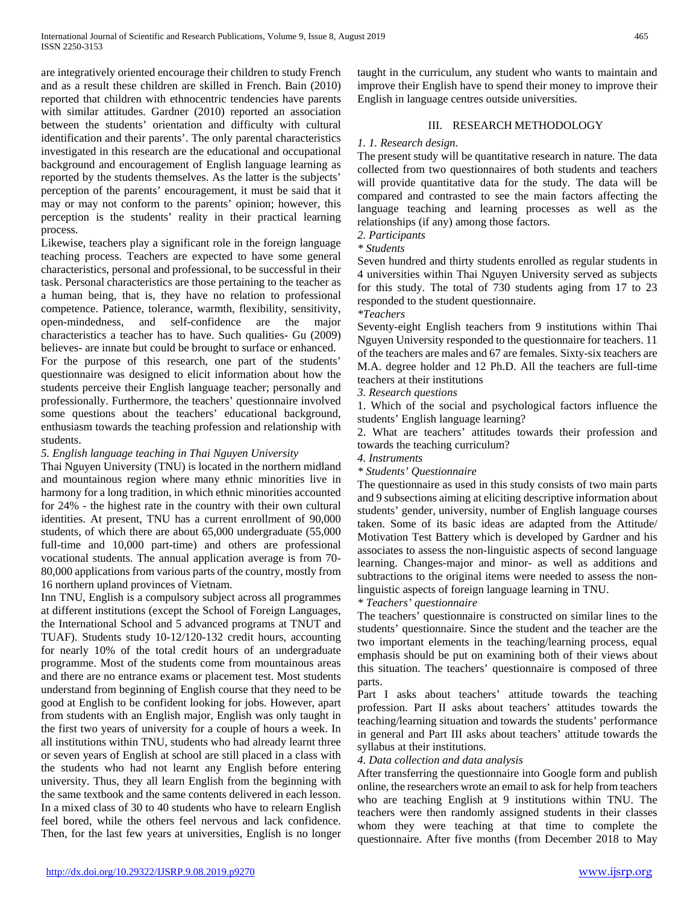are integratively oriented encourage their children to study French and as a result these children are skilled in French. Bain (2010) reported that children with ethnocentric tendencies have parents with similar attitudes. Gardner (2010) reported an association between the students' orientation and difficulty with cultural identification and their parents'. The only parental characteristics investigated in this research are the educational and occupational background and encouragement of English language learning as reported by the students themselves. As the latter is the subjects' perception of the parents' encouragement, it must be said that it may or may not conform to the parents' opinion; however, this perception is the students' reality in their practical learning process.

Likewise, teachers play a significant role in the foreign language teaching process. Teachers are expected to have some general characteristics, personal and professional, to be successful in their task. Personal characteristics are those pertaining to the teacher as a human being, that is, they have no relation to professional competence. Patience, tolerance, warmth, flexibility, sensitivity, open-mindedness, and self-confidence are the major characteristics a teacher has to have. Such qualities- Gu (2009) believes- are innate but could be brought to surface or enhanced. For the purpose of this research, one part of the students' questionnaire was designed to elicit information about how the students perceive their English language teacher; personally and professionally. Furthermore, the teachers' questionnaire involved some questions about the teachers' educational background, enthusiasm towards the teaching profession and relationship with students.

## *5. English language teaching in Thai Nguyen University*

Thai Nguyen University (TNU) is located in the northern midland and mountainous region where many ethnic minorities live in harmony for a long tradition, in which ethnic minorities accounted for 24% - the highest rate in the country with their own cultural identities. At present, TNU has a current enrollment of 90,000 students, of which there are about 65,000 undergraduate (55,000 full-time and 10,000 part-time) and others are professional vocational students. The annual application average is from 70- 80,000 applications from various parts of the country, mostly from 16 northern upland provinces of Vietnam.

Inn TNU, English is a compulsory subject across all programmes at different institutions (except the School of Foreign Languages, the International School and 5 advanced programs at TNUT and TUAF). Students study 10-12/120-132 credit hours, accounting for nearly 10% of the total credit hours of an undergraduate programme. Most of the students come from mountainous areas and there are no entrance exams or placement test. Most students understand from beginning of English course that they need to be good at English to be confident looking for jobs. However, apart from students with an English major, English was only taught in the first two years of university for a couple of hours a week. In all institutions within TNU, students who had already learnt three or seven years of English at school are still placed in a class with the students who had not learnt any English before entering university. Thus, they all learn English from the beginning with the same textbook and the same contents delivered in each lesson. In a mixed class of 30 to 40 students who have to relearn English feel bored, while the others feel nervous and lack confidence. Then, for the last few years at universities, English is no longer

taught in the curriculum, any student who wants to maintain and improve their English have to spend their money to improve their English in language centres outside universities.

## III. RESEARCH METHODOLOGY

## *1. 1. Research design.*

The present study will be quantitative research in nature. The data collected from two questionnaires of both students and teachers will provide quantitative data for the study. The data will be compared and contrasted to see the main factors affecting the language teaching and learning processes as well as the relationships (if any) among those factors.

*2. Participants*

*\* Students*

Seven hundred and thirty students enrolled as regular students in 4 universities within Thai Nguyen University served as subjects for this study. The total of 730 students aging from 17 to 23 responded to the student questionnaire.

*\*Teachers*

Seventy-eight English teachers from 9 institutions within Thai Nguyen University responded to the questionnaire for teachers. 11 of the teachers are males and 67 are females. Sixty-six teachers are M.A. degree holder and 12 Ph.D. All the teachers are full-time teachers at their institutions

*3. Research questions*

1. Which of the social and psychological factors influence the students' English language learning?

2. What are teachers' attitudes towards their profession and towards the teaching curriculum?

- *4. Instruments*
- *\* Students' Questionnaire*

The questionnaire as used in this study consists of two main parts and 9 subsections aiming at eliciting descriptive information about students' gender, university, number of English language courses taken. Some of its basic ideas are adapted from the Attitude/ Motivation Test Battery which is developed by Gardner and his associates to assess the non-linguistic aspects of second language learning. Changes-major and minor- as well as additions and subtractions to the original items were needed to assess the nonlinguistic aspects of foreign language learning in TNU.

# *\* Teachers' questionnaire*

The teachers' questionnaire is constructed on similar lines to the students' questionnaire. Since the student and the teacher are the two important elements in the teaching/learning process, equal emphasis should be put on examining both of their views about this situation. The teachers' questionnaire is composed of three parts.

Part I asks about teachers' attitude towards the teaching profession. Part II asks about teachers' attitudes towards the teaching/learning situation and towards the students' performance in general and Part III asks about teachers' attitude towards the syllabus at their institutions.

*4. Data collection and data analysis*

After transferring the questionnaire into Google form and publish online, the researchers wrote an email to ask for help from teachers who are teaching English at 9 institutions within TNU. The teachers were then randomly assigned students in their classes whom they were teaching at that time to complete the questionnaire. After five months (from December 2018 to May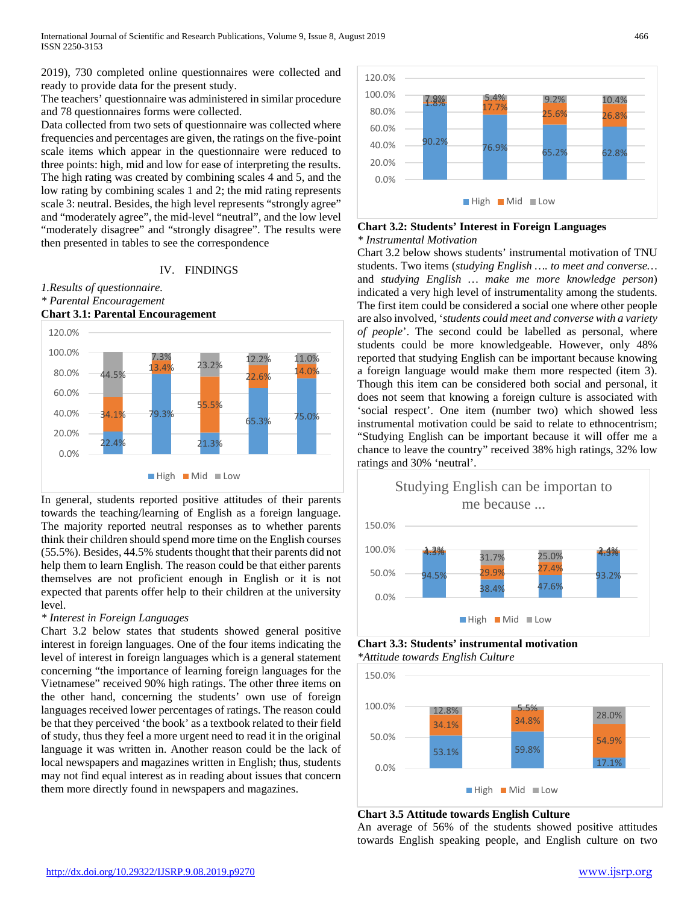2019), 730 completed online questionnaires were collected and ready to provide data for the present study.

The teachers' questionnaire was administered in similar procedure and 78 questionnaires forms were collected.

Data collected from two sets of questionnaire was collected where frequencies and percentages are given, the ratings on the five-point scale items which appear in the questionnaire were reduced to three points: high, mid and low for ease of interpreting the results. The high rating was created by combining scales 4 and 5, and the low rating by combining scales 1 and 2; the mid rating represents scale 3: neutral. Besides, the high level represents "strongly agree" and "moderately agree", the mid-level "neutral", and the low level "moderately disagree" and "strongly disagree". The results were then presented in tables to see the correspondence

## IV. FINDINGS

# *1.Results of questionnaire. \* Parental Encouragement*



In general, students reported positive attitudes of their parents towards the teaching/learning of English as a foreign language. The majority reported neutral responses as to whether parents think their children should spend more time on the English courses (55.5%). Besides, 44.5% students thought that their parents did not help them to learn English. The reason could be that either parents themselves are not proficient enough in English or it is not expected that parents offer help to their children at the university level.

## *\* Interest in Foreign Languages*

Chart 3.2 below states that students showed general positive interest in foreign languages. One of the four items indicating the level of interest in foreign languages which is a general statement concerning "the importance of learning foreign languages for the Vietnamese" received 90% high ratings. The other three items on the other hand, concerning the students' own use of foreign languages received lower percentages of ratings. The reason could be that they perceived 'the book' as a textbook related to their field of study, thus they feel a more urgent need to read it in the original language it was written in. Another reason could be the lack of local newspapers and magazines written in English; thus, students may not find equal interest as in reading about issues that concern them more directly found in newspapers and magazines.



## **Chart 3.2: Students' Interest in Foreign Languages** *\* Instrumental Motivation*

Chart 3.2 below shows students' instrumental motivation of TNU students. Two items (*studying English …. to meet and converse…* and *studying English … make me more knowledge person*) indicated a very high level of instrumentality among the students. The first item could be considered a social one where other people are also involved, '*students could meet and converse with a variety of people*'. The second could be labelled as personal, where students could be more knowledgeable. However, only 48% reported that studying English can be important because knowing a foreign language would make them more respected (item 3). Though this item can be considered both social and personal, it does not seem that knowing a foreign culture is associated with 'social respect'. One item (number two) which showed less instrumental motivation could be said to relate to ethnocentrism; "Studying English can be important because it will offer me a chance to leave the country" received 38% high ratings, 32% low ratings and 30% 'neutral'.



**Chart 3.3: Students' instrumental motivation** *\*Attitude towards English Culture*



## **Chart 3.5 Attitude towards English Culture**

An average of 56% of the students showed positive attitudes towards English speaking people, and English culture on two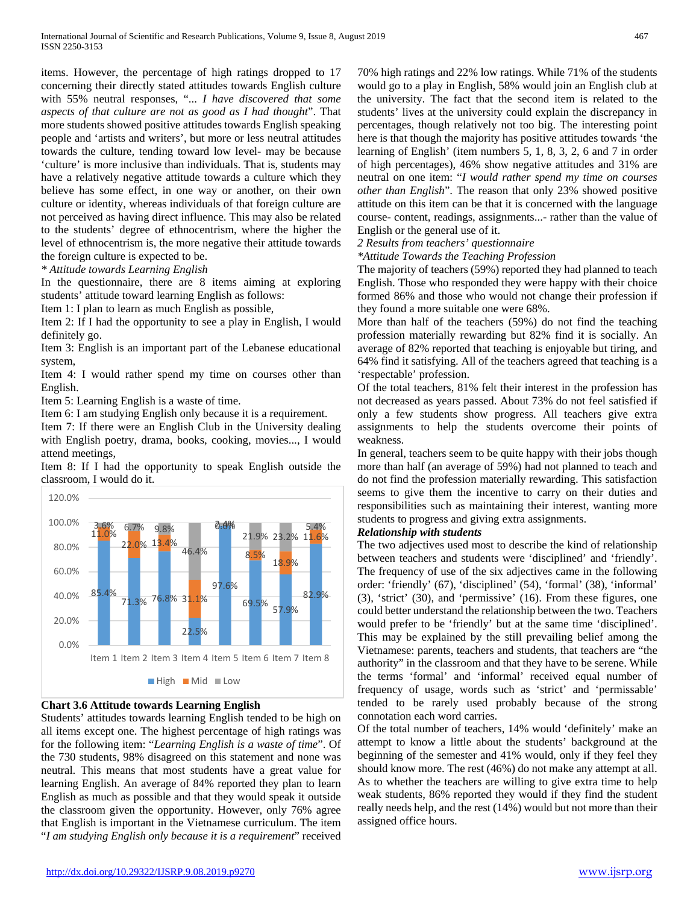items. However, the percentage of high ratings dropped to 17 concerning their directly stated attitudes towards English culture with 55% neutral responses, "... *I have discovered that some aspects of that culture are not as good as I had thought*". That more students showed positive attitudes towards English speaking people and 'artists and writers', but more or less neutral attitudes towards the culture, tending toward low level- may be because 'culture' is more inclusive than individuals. That is, students may have a relatively negative attitude towards a culture which they believe has some effect, in one way or another, on their own culture or identity, whereas individuals of that foreign culture are not perceived as having direct influence. This may also be related to the students' degree of ethnocentrism, where the higher the level of ethnocentrism is, the more negative their attitude towards the foreign culture is expected to be.

*\* Attitude towards Learning English*

In the questionnaire, there are 8 items aiming at exploring students' attitude toward learning English as follows:

Item 1: I plan to learn as much English as possible,

Item 2: If I had the opportunity to see a play in English, I would definitely go.

Item 3: English is an important part of the Lebanese educational system,

Item 4: I would rather spend my time on courses other than English.

Item 5: Learning English is a waste of time.

Item 6: I am studying English only because it is a requirement.

Item 7: If there were an English Club in the University dealing with English poetry, drama, books, cooking, movies..., I would attend meetings,

Item 8: If I had the opportunity to speak English outside the classroom, I would do it.



## **Chart 3.6 Attitude towards Learning English**

Students' attitudes towards learning English tended to be high on all items except one. The highest percentage of high ratings was for the following item: "*Learning English is a waste of time*". Of the 730 students, 98% disagreed on this statement and none was neutral. This means that most students have a great value for learning English. An average of 84% reported they plan to learn English as much as possible and that they would speak it outside the classroom given the opportunity. However, only 76% agree that English is important in the Vietnamese curriculum. The item "*I am studying English only because it is a requirement*" received 70% high ratings and 22% low ratings. While 71% of the students would go to a play in English, 58% would join an English club at the university. The fact that the second item is related to the students' lives at the university could explain the discrepancy in percentages, though relatively not too big. The interesting point here is that though the majority has positive attitudes towards 'the learning of English' (item numbers 5, 1, 8, 3, 2, 6 and 7 in order of high percentages), 46% show negative attitudes and 31% are neutral on one item: "*I would rather spend my time on courses other than English*". The reason that only 23% showed positive attitude on this item can be that it is concerned with the language course- content, readings, assignments...- rather than the value of English or the general use of it.

## *2 Results from teachers' questionnaire*

*\*Attitude Towards the Teaching Profession*

The majority of teachers (59%) reported they had planned to teach English. Those who responded they were happy with their choice formed 86% and those who would not change their profession if they found a more suitable one were 68%.

More than half of the teachers (59%) do not find the teaching profession materially rewarding but 82% find it is socially. An average of 82% reported that teaching is enjoyable but tiring, and 64% find it satisfying. All of the teachers agreed that teaching is a 'respectable' profession.

Of the total teachers, 81% felt their interest in the profession has not decreased as years passed. About 73% do not feel satisfied if only a few students show progress. All teachers give extra assignments to help the students overcome their points of weakness.

In general, teachers seem to be quite happy with their jobs though more than half (an average of 59%) had not planned to teach and do not find the profession materially rewarding. This satisfaction seems to give them the incentive to carry on their duties and responsibilities such as maintaining their interest, wanting more students to progress and giving extra assignments.

## *Relationship with students*

The two adjectives used most to describe the kind of relationship between teachers and students were 'disciplined' and 'friendly'. The frequency of use of the six adjectives came in the following order: 'friendly' (67), 'disciplined' (54), 'formal' (38), 'informal' (3), 'strict' (30), and 'permissive' (16). From these figures, one could better understand the relationship between the two. Teachers would prefer to be 'friendly' but at the same time 'disciplined'. This may be explained by the still prevailing belief among the Vietnamese: parents, teachers and students, that teachers are "the authority" in the classroom and that they have to be serene. While the terms 'formal' and 'informal' received equal number of frequency of usage, words such as 'strict' and 'permissable' tended to be rarely used probably because of the strong connotation each word carries.

Of the total number of teachers, 14% would 'definitely' make an attempt to know a little about the students' background at the beginning of the semester and 41% would, only if they feel they should know more. The rest (46%) do not make any attempt at all. As to whether the teachers are willing to give extra time to help weak students, 86% reported they would if they find the student really needs help, and the rest (14%) would but not more than their assigned office hours.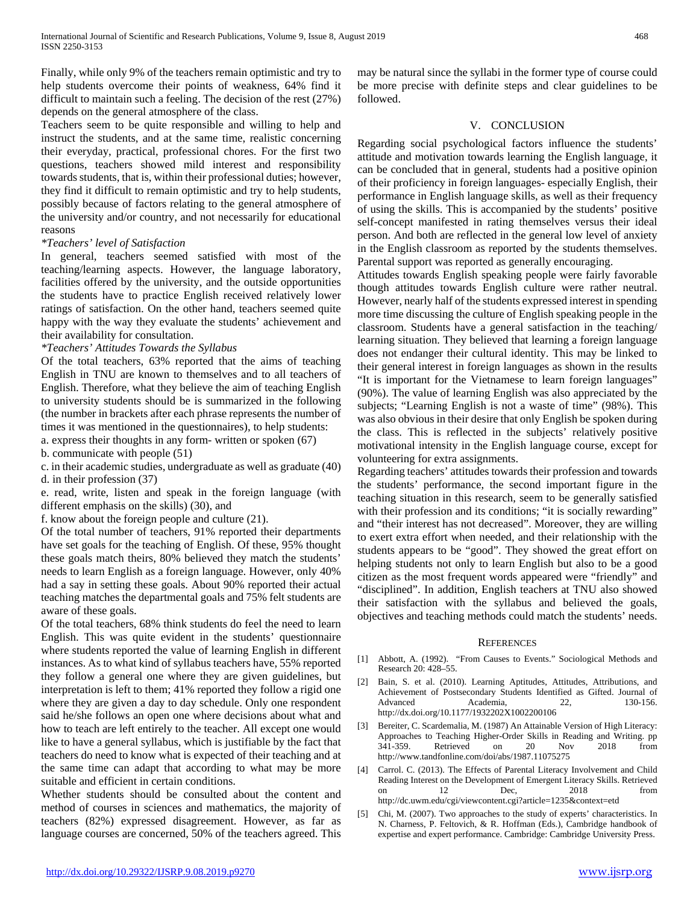Finally, while only 9% of the teachers remain optimistic and try to help students overcome their points of weakness, 64% find it difficult to maintain such a feeling. The decision of the rest (27%) depends on the general atmosphere of the class.

Teachers seem to be quite responsible and willing to help and instruct the students, and at the same time, realistic concerning their everyday, practical, professional chores. For the first two questions, teachers showed mild interest and responsibility towards students, that is, within their professional duties; however, they find it difficult to remain optimistic and try to help students, possibly because of factors relating to the general atmosphere of the university and/or country, and not necessarily for educational reasons

## *\*Teachers' level of Satisfaction*

In general, teachers seemed satisfied with most of the teaching/learning aspects. However, the language laboratory, facilities offered by the university, and the outside opportunities the students have to practice English received relatively lower ratings of satisfaction. On the other hand, teachers seemed quite happy with the way they evaluate the students' achievement and their availability for consultation.

## *\*Teachers' Attitudes Towards the Syllabus*

Of the total teachers, 63% reported that the aims of teaching English in TNU are known to themselves and to all teachers of English. Therefore, what they believe the aim of teaching English to university students should be is summarized in the following (the number in brackets after each phrase represents the number of times it was mentioned in the questionnaires), to help students:

a. express their thoughts in any form- written or spoken (67)

b. communicate with people (51)

c. in their academic studies, undergraduate as well as graduate (40) d. in their profession (37)

e. read, write, listen and speak in the foreign language (with different emphasis on the skills) (30), and

f. know about the foreign people and culture (21).

Of the total number of teachers, 91% reported their departments have set goals for the teaching of English. Of these, 95% thought these goals match theirs, 80% believed they match the students' needs to learn English as a foreign language. However, only 40% had a say in setting these goals. About 90% reported their actual teaching matches the departmental goals and 75% felt students are aware of these goals.

Of the total teachers, 68% think students do feel the need to learn English. This was quite evident in the students' questionnaire where students reported the value of learning English in different instances. As to what kind of syllabus teachers have, 55% reported they follow a general one where they are given guidelines, but interpretation is left to them; 41% reported they follow a rigid one where they are given a day to day schedule. Only one respondent said he/she follows an open one where decisions about what and how to teach are left entirely to the teacher. All except one would like to have a general syllabus, which is justifiable by the fact that teachers do need to know what is expected of their teaching and at the same time can adapt that according to what may be more suitable and efficient in certain conditions.

Whether students should be consulted about the content and method of courses in sciences and mathematics, the majority of teachers (82%) expressed disagreement. However, as far as language courses are concerned, 50% of the teachers agreed. This

may be natural since the syllabi in the former type of course could be more precise with definite steps and clear guidelines to be followed.

## V. CONCLUSION

Regarding social psychological factors influence the students' attitude and motivation towards learning the English language, it can be concluded that in general, students had a positive opinion of their proficiency in foreign languages- especially English, their performance in English language skills, as well as their frequency of using the skills. This is accompanied by the students' positive self-concept manifested in rating themselves versus their ideal person. And both are reflected in the general low level of anxiety in the English classroom as reported by the students themselves. Parental support was reported as generally encouraging.

Attitudes towards English speaking people were fairly favorable though attitudes towards English culture were rather neutral. However, nearly half of the students expressed interest in spending more time discussing the culture of English speaking people in the classroom. Students have a general satisfaction in the teaching/ learning situation. They believed that learning a foreign language does not endanger their cultural identity. This may be linked to their general interest in foreign languages as shown in the results "It is important for the Vietnamese to learn foreign languages" (90%). The value of learning English was also appreciated by the subjects; "Learning English is not a waste of time" (98%). This was also obvious in their desire that only English be spoken during the class. This is reflected in the subjects' relatively positive motivational intensity in the English language course, except for volunteering for extra assignments.

Regarding teachers' attitudes towards their profession and towards the students' performance, the second important figure in the teaching situation in this research, seem to be generally satisfied with their profession and its conditions; "it is socially rewarding" and "their interest has not decreased". Moreover, they are willing to exert extra effort when needed, and their relationship with the students appears to be "good". They showed the great effort on helping students not only to learn English but also to be a good citizen as the most frequent words appeared were "friendly" and "disciplined". In addition, English teachers at TNU also showed their satisfaction with the syllabus and believed the goals, objectives and teaching methods could match the students' needs.

## **REFERENCES**

- [1] Abbott, A. (1992). "From Causes to Events." Sociological Methods and Research 20: 428–55.
- [2] Bain, S. et al. (2010). Learning Aptitudes, Attitudes, Attributions, and Achievement of Postsecondary Students Identified as Gifted. Journal of Advanced<br>Academia 22 130-156 Advanced Academia, 22, http://dx.doi.org/10.1177/1932202X1002200106
- [3] Bereiter, C. Scardemalia, M. (1987) An Attainable Version of High Literacy: Approaches to Teaching Higher-Order Skills in Reading and Writing. pp 341-359. Retrieved on 20 Nov 2018 from http://www.tandfonline.com/doi/abs/1987.11075275
- [4] Carrol. C. (2013). The Effects of Parental Literacy Involvement and Child Reading Interest on the Development of Emergent Literacy Skills. Retrieved on 12 Dec, 2018 from http://dc.uwm.edu/cgi/viewcontent.cgi?article=1235&context=etd
- [5] Chi, M. (2007). Two approaches to the study of experts' characteristics. In N. Charness, P. Feltovich, & R. Hoffman (Eds.), Cambridge handbook of expertise and expert performance. Cambridge: Cambridge University Press.